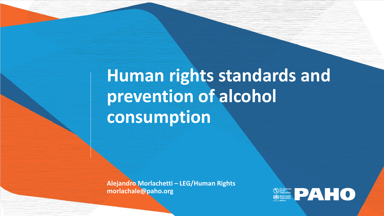## **Human rights standards and prevention of alcohol consumption**

**Alejandro Morlachetti – LEG/Human Rights morlachale@paho.org**

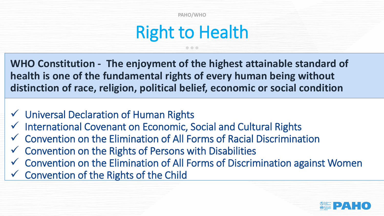### Right to Health

**WHO Constitution - The enjoyment of the highest attainable standard of health is one of the fundamental rights of every human being without distinction of race, religion, political belief, economic or social condition**

- ✓ Universal Declaration of Human Rights
- ✓ International Covenant on Economic, Social and Cultural Rights
- ✓ Convention on the Elimination of All Forms of Racial Discrimination
- $\checkmark$  Convention on the Rights of Persons with Disabilities
- ✓ Convention on the Elimination of All Forms of Discrimination against Women
- $\checkmark$  Convention of the Rights of the Child

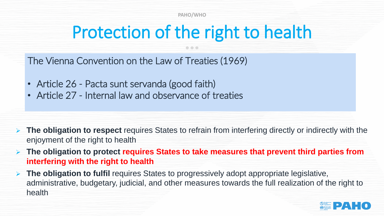### Protection of the right to health

The Vienna Convention on the Law of Treaties (1969)

- Article 26 Pacta sunt servanda (good faith)
- Article 27 Internal law and observance of treaties

- ➢ **The obligation to respect** requires States to refrain from interfering directly or indirectly with the enjoyment of the right to health
- ➢ **The obligation to protect requires States to take measures that prevent third parties from interfering with the right to health**
- ➢ **The obligation to fulfil** requires States to progressively adopt appropriate legislative, administrative, budgetary, judicial, and other measures towards the full realization of the right to health

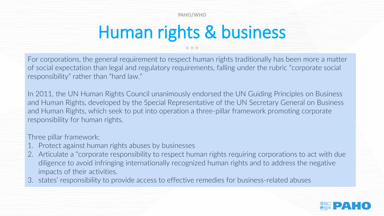# Human rights & business

For corporations, the general requirement to respect human rights traditionally has been more a matter of social expectation than legal and regulatory requirements, falling under the rubric "corporate social responsibility" rather than "hard law."

In 2011, the UN Human Rights Council unanimously endorsed the UN Guiding Principles on Business and Human Rights, developed by the Special Representative of the UN Secretary General on Business and Human Rights, which seek to put into operation a three-pillar framework promoting corporate responsibility for human rights.

Three pillar framework:

- 1. Protect against human rights abuses by businesses
- 2. Articulate a "corporate responsibility to respect human rights requiring corporations to act with due diligence to avoid infringing internationally recognized human rights and to address the negative impacts of their activities.
- 3. states' responsibility to provide access to effective remedies for business-related abuses

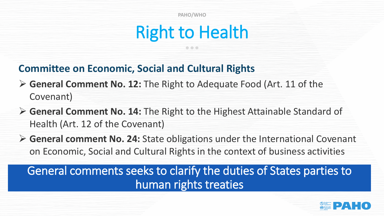### Right to Health

#### **Committee on Economic, Social and Cultural Rights**

- ➢ **General Comment No. 12:** The Right to Adequate Food (Art. 11 of the Covenant)
- ➢ **General Comment No. 14:** The Right to the Highest Attainable Standard of Health (Art. 12 of the Covenant)
- ➢ **General comment No. 24:** State obligations under the International Covenant on Economic, Social and Cultural Rights in the context of business activities

General comments seeks to clarify the duties of States parties to human rights treaties

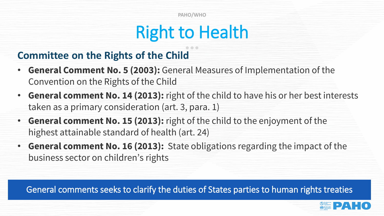### Right to Health

### **Committee on the Rights of the Child**

- **General Comment No. 5 (2003):** General Measures of Implementation of the Convention on the Rights of the Child
- **General comment No. 14 (2013):** right of the child to have his or her best interests taken as a primary consideration (art. 3, para. 1)
- **General comment No. 15 (2013):** right of the child to the enjoyment of the highest attainable standard of health (art. 24)
- **General comment No. 16 (2013):** State obligations regarding the impact of the business sector on children's rights

General comments seeks to clarify the duties of States parties to human rights treaties

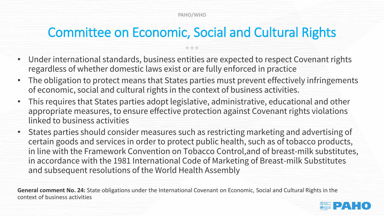### Committee on Economic, Social and Cultural Rights

- Under international standards, business entities are expected to respect Covenant rights regardless of whether domestic laws exist or are fully enforced in practice
- The obligation to protect means that States parties must prevent effectively infringements of economic, social and cultural rights in the context of business activities.
- This requires that States parties adopt legislative, administrative, educational and other appropriate measures, to ensure effective protection against Covenant rights violations linked to business activities
- States parties should consider measures such as restricting marketing and advertising of certain goods and services in order to protect public health, such as of tobacco products, in line with the Framework Convention on Tobacco Control,and of breast-milk substitutes, in accordance with the 1981 International Code of Marketing of Breast-milk Substitutes and subsequent resolutions of the World Health Assembly

**General comment No. 24:** State obligations under the International Covenant on Economic, Social and Cultural Rights in the context of business activities

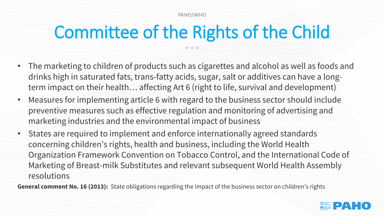### Committee of the Rights of the Child

- The marketing to children of products such as cigarettes and alcohol as well as foods and drinks high in saturated fats, trans-fatty acids, sugar, salt or additives can have a longterm impact on their health… affecting Art 6 (right to life, survival and development)
- Measures for implementing article 6 with regard to the business sector should include preventive measures such as effective regulation and monitoring of advertising and marketing industries and the environmental impact of business
- States are required to implement and enforce internationally agreed standards concerning children's rights, health and business, including the World Health Organization Framework Convention on Tobacco Control, and the International Code of Marketing of Breast-milk Substitutes and relevant subsequent World Health Assembly resolutions

**General comment No. 16 (2013):** State obligations regarding the impact of the business sector on children's rights

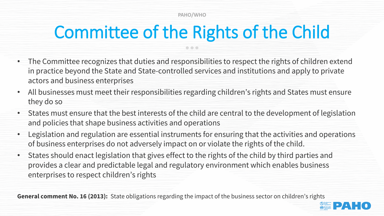## Committee of the Rights of the Child

- The Committee recognizes that duties and responsibilities to respect the rights of children extend in practice beyond the State and State-controlled services and institutions and apply to private actors and business enterprises
- All businesses must meet their responsibilities regarding children's rights and States must ensure they do so
- States must ensure that the best interests of the child are central to the development of legislation and policies that shape business activities and operations
- Legislation and regulation are essential instruments for ensuring that the activities and operations of business enterprises do not adversely impact on or violate the rights of the child.
- States should enact legislation that gives effect to the rights of the child by third parties and provides a clear and predictable legal and regulatory environment which enables business enterprises to respect children's rights

**General comment No. 16 (2013):** State obligations regarding the impact of the business sector on children's rights

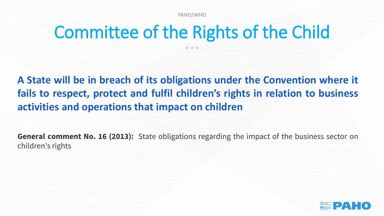### Committee of the Rights of the Child

 $\bullet$   $\bullet$   $\bullet$ 

**A State will be in breach of its obligations under the Convention where it fails to respect, protect and fulfil children's rights in relation to business activities and operations that impact on children**

**General comment No. 16 (2013):** State obligations regarding the impact of the business sector on children's rights